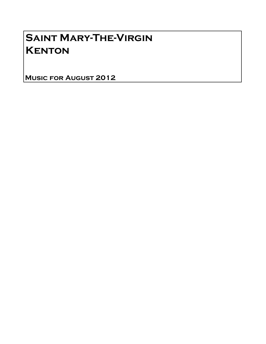# Saint Mary-The-Virgin **KENTON**

Music for August 2012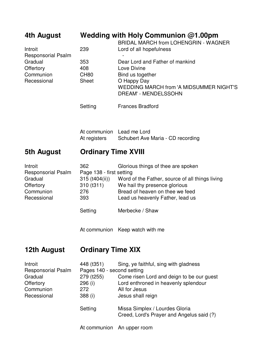| 4th August                                                                               | Wedding with Holy Communion $@1.00$ pm<br><b>BRIDAL MARCH from LOHENGRIN - WAGNER</b>          |                                                                                                                                                                                                                                                 |  |
|------------------------------------------------------------------------------------------|------------------------------------------------------------------------------------------------|-------------------------------------------------------------------------------------------------------------------------------------------------------------------------------------------------------------------------------------------------|--|
| Introit<br><b>Responsorial Psalm</b><br>Gradual<br>Offertory<br>Communion<br>Recessional | 239                                                                                            | Lord of all hopefulness                                                                                                                                                                                                                         |  |
|                                                                                          | 353<br>408<br><b>CH80</b><br><b>Sheet</b>                                                      | Dear Lord and Father of mankind<br>Love Divine<br>Bind us together<br>O Happy Day<br><b>WEDDING MARCH from 'A MIDSUMMER NIGHT'S</b><br><b>DREAM' - MENDELSSOHN</b>                                                                              |  |
|                                                                                          | Setting                                                                                        | <b>Frances Bradford</b>                                                                                                                                                                                                                         |  |
|                                                                                          | At communion Lead me Lord<br>At registers                                                      | Schubert Ave Maria - CD recording                                                                                                                                                                                                               |  |
| 5th August                                                                               | <b>Ordinary Time XVIII</b>                                                                     |                                                                                                                                                                                                                                                 |  |
| Introit<br><b>Responsorial Psalm</b><br>Gradual<br>Offertory<br>Communion<br>Recessional | 362<br>Page 138 - first setting<br>$315$ (t404(ii))<br>310(1311)<br>276<br>393<br>Setting      | Glorious things of thee are spoken<br>Word of the Father, source of all things living<br>We hail thy presence glorious<br>Bread of heaven on thee we feed<br>Lead us heavenly Father, lead us<br>Merbecke / Shaw                                |  |
|                                                                                          |                                                                                                | At communion Keep watch with me                                                                                                                                                                                                                 |  |
| 12th August                                                                              | <b>Ordinary Time XIX</b>                                                                       |                                                                                                                                                                                                                                                 |  |
| Introit<br><b>Responsorial Psalm</b><br>Gradual<br>Offertory<br>Communion<br>Recessional | 448 (t351)<br>Pages 140 - second setting<br>279 (t255)<br>296 (i)<br>272<br>388 (i)<br>Setting | Sing, ye faithful, sing with gladness<br>Come risen Lord and deign to be our guest<br>Lord enthroned in heavenly splendour<br>All for Jesus<br>Jesus shall reign<br>Missa Simplex / Lourdes Gloria<br>Creed, Lord's Prayer and Angelus said (?) |  |

At communion An upper room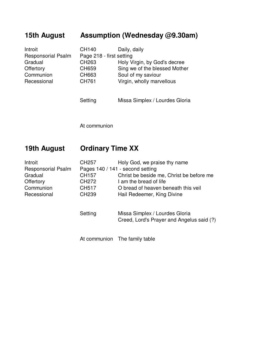### **15th August Assumption (Wednesday @9.30am)**

| Introit                   | CH140                    | Daily, daily                  |
|---------------------------|--------------------------|-------------------------------|
| <b>Responsorial Psalm</b> | Page 218 - first setting |                               |
| Gradual                   | CH263                    | Holy Virgin, by God's decree  |
| Offertory                 | CH659                    | Sing we of the blessed Mother |
| Communion                 | CH663                    | Soul of my saviour            |
| Recessional               | CH761                    | Virgin, wholly marvellous     |
|                           |                          |                               |

Setting Missa Simplex / Lourdes Gloria

At communion

### **19th August Ordinary Time XX**

| Introit                   | CH <sub>257</sub> | Holy God, we praise thy name             |
|---------------------------|-------------------|------------------------------------------|
| <b>Responsorial Psalm</b> |                   | Pages 140 / 141 - second setting         |
| Gradual                   | CH157             | Christ be beside me, Christ be before me |
| Offertory                 | CH <sub>272</sub> | I am the bread of life                   |
| Communion                 | <b>CH517</b>      | O bread of heaven beneath this veil      |
| Recessional               | <b>CH239</b>      | Hail Redeemer, King Divine               |

Setting Missa Simplex / Lourdes Gloria Creed, Lord's Prayer and Angelus said (?)

At communion The family table